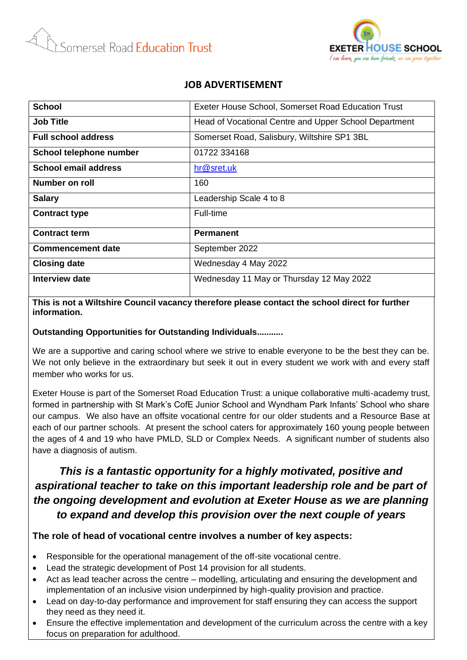



## **JOB ADVERTISEMENT**

| <b>School</b>               | Exeter House School, Somerset Road Education Trust    |
|-----------------------------|-------------------------------------------------------|
| <b>Job Title</b>            | Head of Vocational Centre and Upper School Department |
| <b>Full school address</b>  | Somerset Road, Salisbury, Wiltshire SP1 3BL           |
| School telephone number     | 01722 334168                                          |
| <b>School email address</b> | hr@sret.uk                                            |
| Number on roll              | 160                                                   |
| <b>Salary</b>               | Leadership Scale 4 to 8                               |
| <b>Contract type</b>        | Full-time                                             |
| <b>Contract term</b>        | <b>Permanent</b>                                      |
| <b>Commencement date</b>    | September 2022                                        |
| <b>Closing date</b>         | Wednesday 4 May 2022                                  |
| <b>Interview date</b>       | Wednesday 11 May or Thursday 12 May 2022              |

**This is not a Wiltshire Council vacancy therefore please contact the school direct for further information.**

#### **Outstanding Opportunities for Outstanding Individuals...........**

We are a supportive and caring school where we strive to enable everyone to be the best they can be. We not only believe in the extraordinary but seek it out in every student we work with and every staff member who works for us.

Exeter House is part of the Somerset Road Education Trust: a unique collaborative multi-academy trust, formed in partnership with St Mark's CofE Junior School and Wyndham Park Infants' School who share our campus. We also have an offsite vocational centre for our older students and a Resource Base at each of our partner schools. At present the school caters for approximately 160 young people between the ages of 4 and 19 who have PMLD, SLD or Complex Needs. A significant number of students also have a diagnosis of autism.

# *This is a fantastic opportunity for a highly motivated, positive and aspirational teacher to take on this important leadership role and be part of the ongoing development and evolution at Exeter House as we are planning to expand and develop this provision over the next couple of years*

#### **The role of head of vocational centre involves a number of key aspects:**

- Responsible for the operational management of the off-site vocational centre.
- Lead the strategic development of Post 14 provision for all students.
- Act as lead teacher across the centre modelling, articulating and ensuring the development and implementation of an inclusive vision underpinned by high-quality provision and practice.
- Lead on day-to-day performance and improvement for staff ensuring they can access the support they need as they need it.
- Ensure the effective implementation and development of the curriculum across the centre with a key focus on preparation for adulthood.